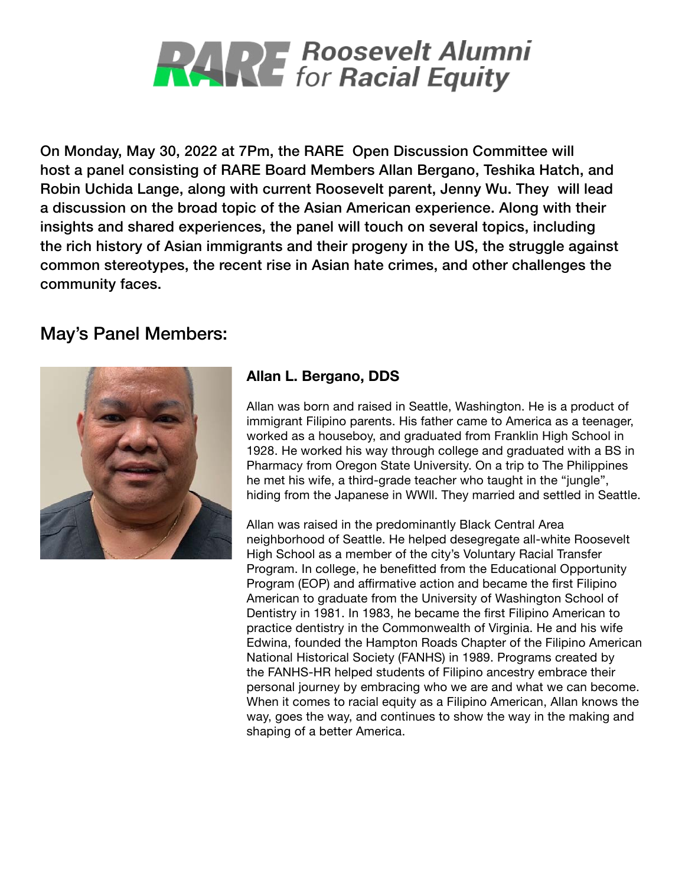

On Monday, May 30, 2022 at 7Pm, the RARE Open Discussion Committee will host a panel consisting of RARE Board Members Allan Bergano, Teshika Hatch, and Robin Uchida Lange, along with current Roosevelt parent, Jenny Wu. They will lead a discussion on the broad topic of the Asian American experience. Along with their insights and shared experiences, the panel will touch on several topics, including the rich history of Asian immigrants and their progeny in the US, the struggle against common stereotypes, the recent rise in Asian hate crimes, and other challenges the community faces.

# May's Panel Members:



## **Allan L. Bergano, DDS**

Allan was born and raised in Seattle, Washington. He is a product of immigrant Filipino parents. His father came to America as a teenager, worked as a houseboy, and graduated from Franklin High School in 1928. He worked his way through college and graduated with a BS in Pharmacy from Oregon State University. On a trip to The Philippines he met his wife, a third-grade teacher who taught in the "jungle", hiding from the Japanese in WWll. They married and settled in Seattle.

Allan was raised in the predominantly Black Central Area neighborhood of Seattle. He helped desegregate all-white Roosevelt High School as a member of the city's Voluntary Racial Transfer Program. In college, he benefitted from the Educational Opportunity Program (EOP) and affirmative action and became the first Filipino American to graduate from the University of Washington School of Dentistry in 1981. In 1983, he became the first Filipino American to practice dentistry in the Commonwealth of Virginia. He and his wife Edwina, founded the Hampton Roads Chapter of the Filipino American National Historical Society (FANHS) in 1989. Programs created by the FANHS-HR helped students of Filipino ancestry embrace their personal journey by embracing who we are and what we can become. When it comes to racial equity as a Filipino American, Allan knows the way, goes the way, and continues to show the way in the making and shaping of a better America.